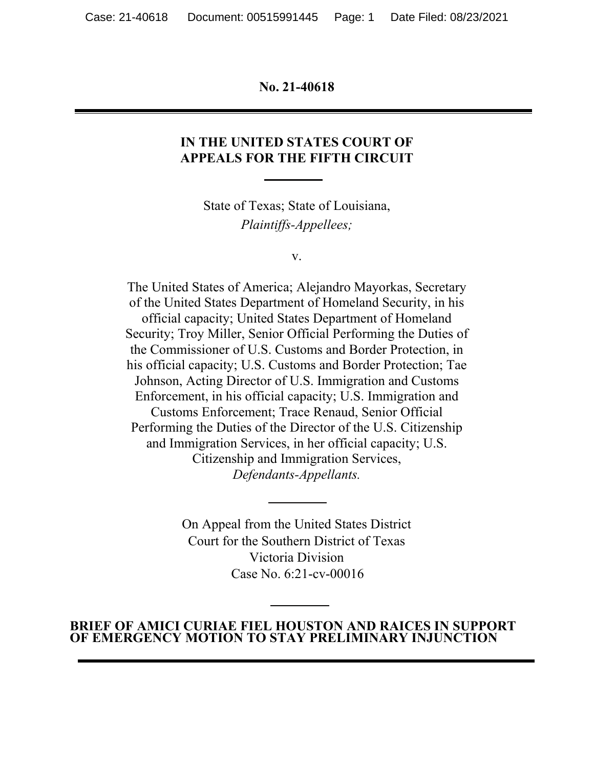**No. 21-40618**

#### **IN THE UNITED STATES COURT OF APPEALS FOR THE FIFTH CIRCUIT**

State of Texas; State of Louisiana, *Plaintiffs-Appellees;*

v.

The United States of America; Alejandro Mayorkas, Secretary of the United States Department of Homeland Security, in his official capacity; United States Department of Homeland Security; Troy Miller, Senior Official Performing the Duties of the Commissioner of U.S. Customs and Border Protection, in his official capacity; U.S. Customs and Border Protection; Tae Johnson, Acting Director of U.S. Immigration and Customs Enforcement, in his official capacity; U.S. Immigration and Customs Enforcement; Trace Renaud, Senior Official Performing the Duties of the Director of the U.S. Citizenship and Immigration Services, in her official capacity; U.S. Citizenship and Immigration Services, *Defendants-Appellants.*

> On Appeal from the United States District Court for the Southern District of Texas Victoria Division Case No. 6:21-cv-00016

#### **BRIEF OF AMICI CURIAE FIEL HOUSTON AND RAICES IN SUPPORT OF EMERGENCY MOTION TO STAY PRELIMINARY INJUNCTION**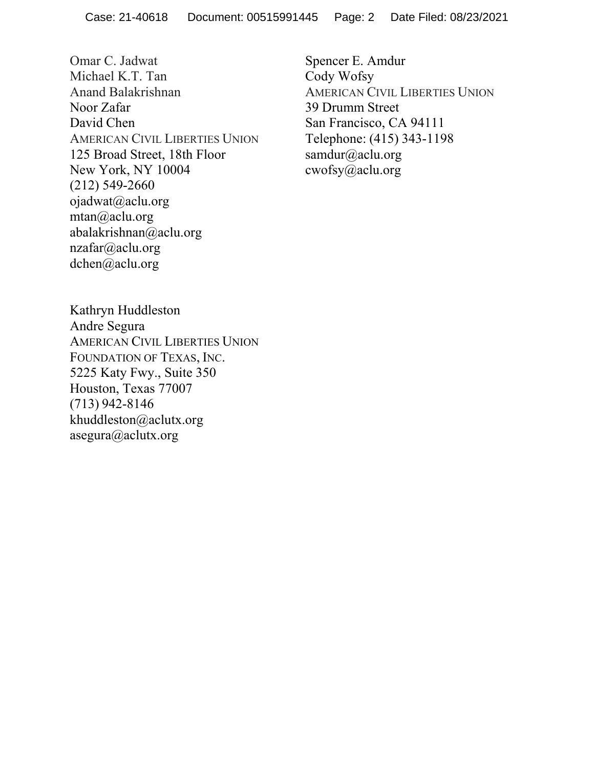Omar C. Jadwat Michael K.T. Tan Anand Balakrishnan Noor Zafar David Chen AMERICAN CIVIL LIBERTIES UNION 125 Broad Street, 18th Floor New York, NY 10004 (212) 549-2660 ojadwat@aclu.org mtan@aclu.org abalakrishnan@aclu.org nzafar@aclu.org dchen@aclu.org

Spencer E. Amdur Cody Wofsy AMERICAN CIVIL LIBERTIES UNION 39 Drumm Street San Francisco, CA 94111 Telephone: (415) 343-1198 samdur@aclu.org [cwofsy@aclu.org](mailto:cwofsy@aclu.org)

Kathryn Huddleston Andre Segura AMERICAN CIVIL LIBERTIES UNION FOUNDATION OF TEXAS, INC. 5225 Katy Fwy., Suite 350 Houston, Texas 77007 (713) 942-8146 khuddleston@aclutx.org asegura@aclutx.org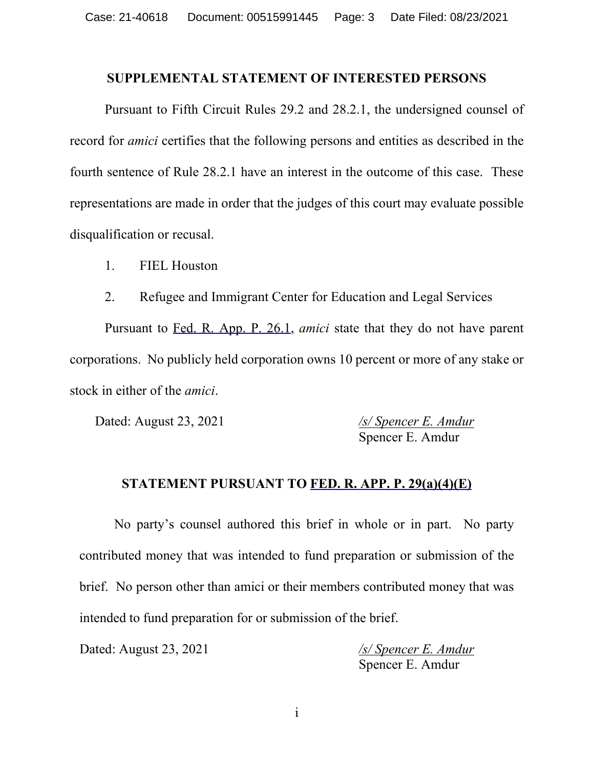#### **SUPPLEMENTAL STATEMENT OF INTERESTED PERSONS**

Pursuant to Fifth Circuit Rules 29.2 and 28.2.1, the undersigned counsel of record for *amici* certifies that the following persons and entities as described in the fourth sentence of Rule 28.2.1 have an interest in the outcome of this case. These representations are made in order that the judges of this court may evaluate possible disqualification or recusal.

1. FIEL Houston

2. Refugee and Immigrant Center for Education and Legal Services

Pursuant to Fed. R. App. P. 26.1, *amici* state that they do not have parent corporations. No publicly held corporation owns 10 percent or more of any stake or stock in either of the *amici*.

Dated: August 23, 2021 */s/ Spencer E. Amdur*

Spencer E. Amdur

#### **STATEMENT PURSUANT TO FED. R. APP. P. 29(a)(4)(E)**

No party's counsel authored this brief in whole or in part. No party contributed money that was intended to fund preparation or submission of the brief. No person other than amici or their members contributed money that was intended to fund preparation for or submission of the brief.

Dated: August 23, 2021 */s/ Spencer E. Amdur*

Spencer E. Amdur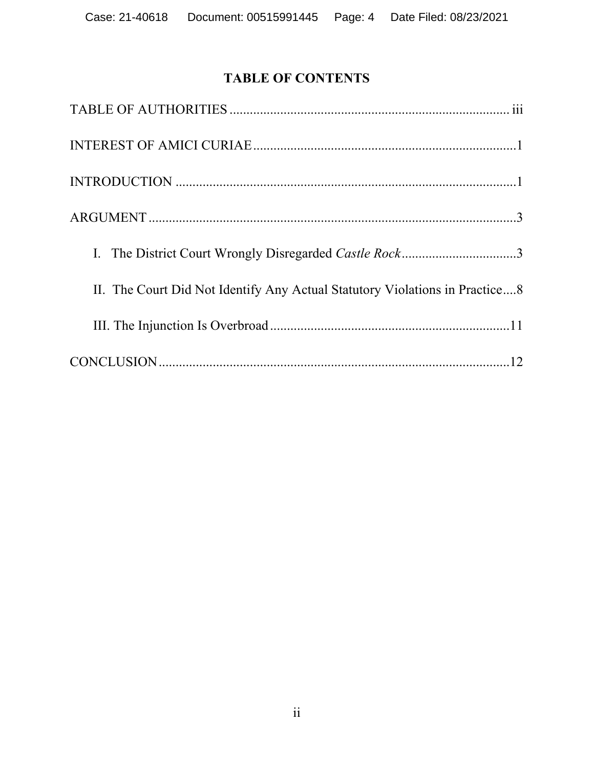# **TABLE OF CONTENTS**

| I. The District Court Wrongly Disregarded Castle Rock3                      |
|-----------------------------------------------------------------------------|
| II. The Court Did Not Identify Any Actual Statutory Violations in Practice8 |
|                                                                             |
|                                                                             |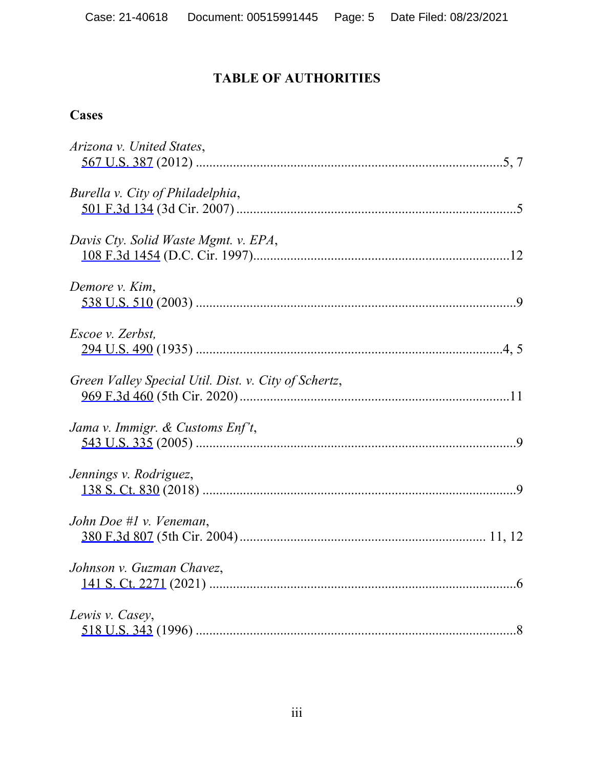# **TABLE OF AUTHORITIES**

## **Cases**

| Arizona v. United States,                            |
|------------------------------------------------------|
| Burella v. City of Philadelphia,                     |
| Davis Cty. Solid Waste Mgmt. v. EPA,                 |
| Demore v. Kim,                                       |
| Escoe v. Zerbst,                                     |
| Green Valley Special Util. Dist. v. City of Schertz, |
| Jama v. Immigr. & Customs Enf't,                     |
| Jennings v. Rodriguez,                               |
| John Doe #1 v. Veneman,                              |
| Johnson v. Guzman Chavez,                            |
| Lewis v. Casey,                                      |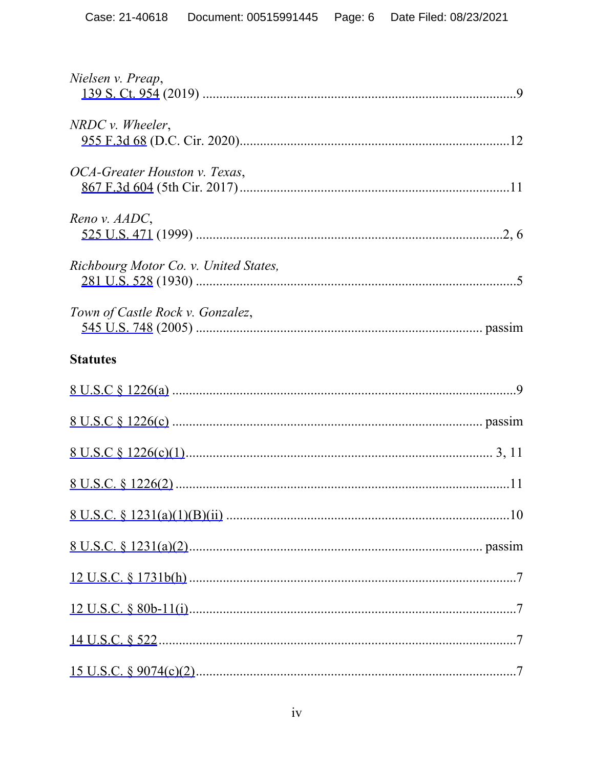| Nielsen v. Preap,                     |
|---------------------------------------|
| $NRDC$ v. Wheeler,                    |
| OCA-Greater Houston v. Texas,         |
| Reno v. AADC,                         |
| Richbourg Motor Co. v. United States, |
| Town of Castle Rock v. Gonzalez,      |
| <b>Statutes</b>                       |
|                                       |
|                                       |
|                                       |
|                                       |
|                                       |
|                                       |
|                                       |
|                                       |
|                                       |
|                                       |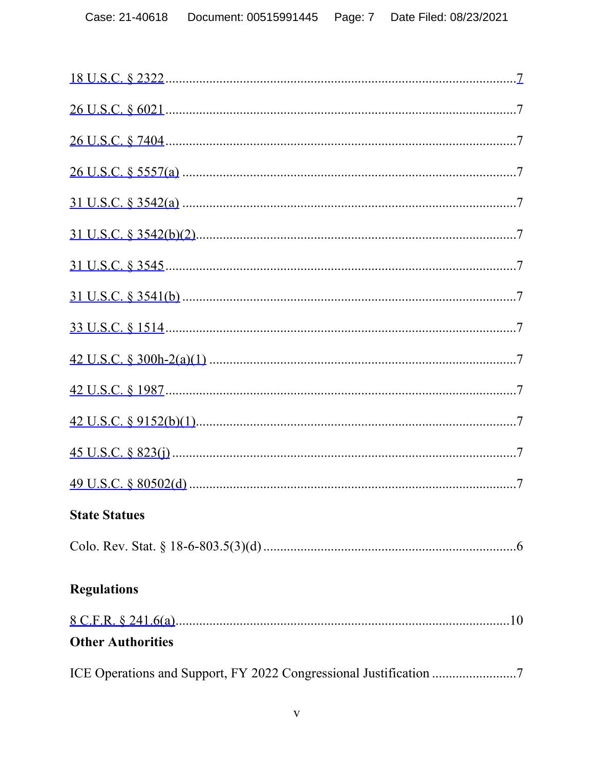| <b>State Statues</b>     |
|--------------------------|
|                          |
| <b>Regulations</b>       |
| <b>Other Authorities</b> |
|                          |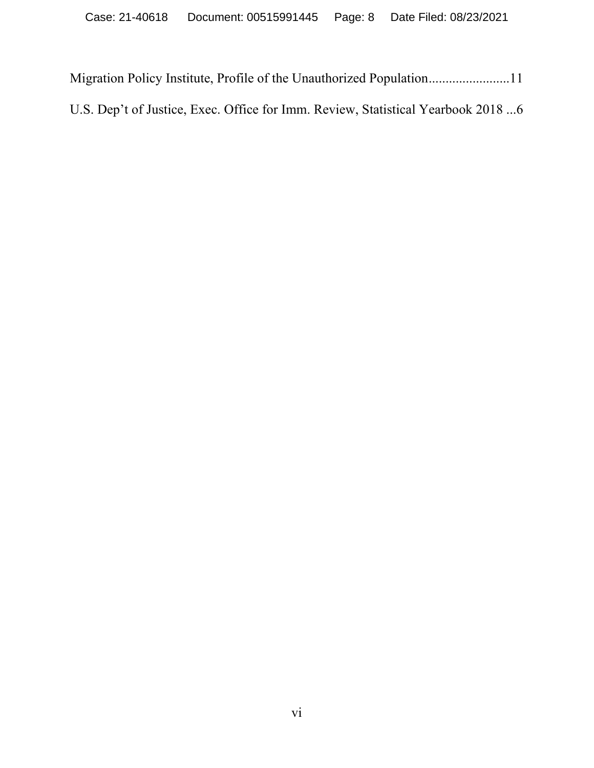Migration Policy Institute, Profile of the Unauthorized Population........................11 U.S. Dep't of Justice, Exec. Office for Imm. Review, Statistical Yearbook 2018 ...6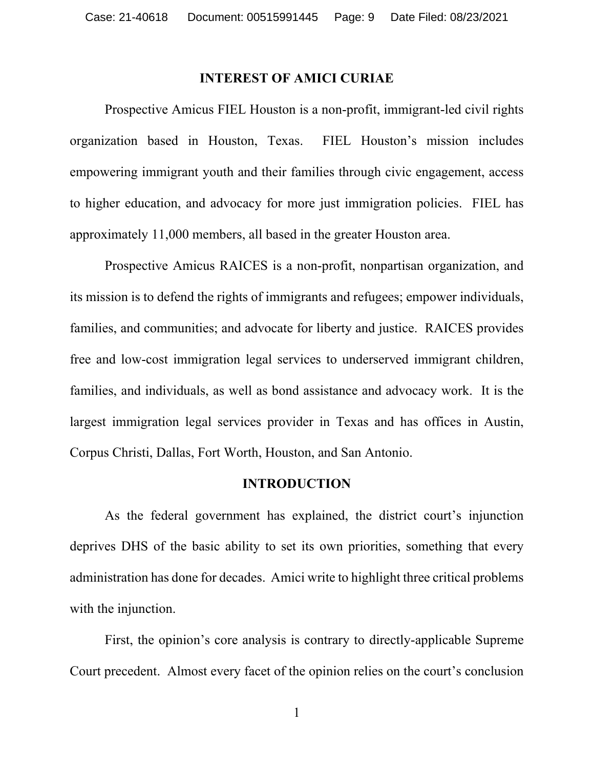#### **INTEREST OF AMICI CURIAE**

Prospective Amicus FIEL Houston is a non-profit, immigrant-led civil rights organization based in Houston, Texas. FIEL Houston's mission includes empowering immigrant youth and their families through civic engagement, access to higher education, and advocacy for more just immigration policies. FIEL has approximately 11,000 members, all based in the greater Houston area.

Prospective Amicus RAICES is a non-profit, nonpartisan organization, and its mission is to defend the rights of immigrants and refugees; empower individuals, families, and communities; and advocate for liberty and justice. RAICES provides free and low-cost immigration legal services to underserved immigrant children, families, and individuals, as well as bond assistance and advocacy work. It is the largest immigration legal services provider in Texas and has offices in Austin, Corpus Christi, Dallas, Fort Worth, Houston, and San Antonio.

#### **INTRODUCTION**

As the federal government has explained, the district court's injunction deprives DHS of the basic ability to set its own priorities, something that every administration has done for decades. Amici write to highlight three critical problems with the injunction.

First, the opinion's core analysis is contrary to directly-applicable Supreme Court precedent. Almost every facet of the opinion relies on the court's conclusion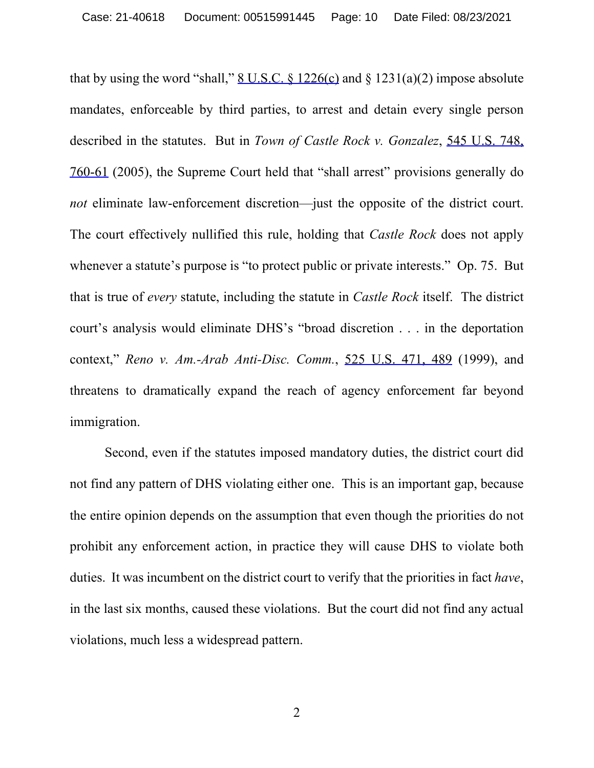that by using the word "shall,"  $8 \text{ U.S.C.}$   $8 \text{ 1226(c)}$  and  $8 \text{ 1231(a)(2)}$  impose absolute mandates, enforceable by third parties, to arrest and detain every single person described in the statutes. But in *Town of Castle Rock v. Gonzalez*, 545 U.S. 748, 760-61 (2005), the Supreme Court held that "shall arrest" provisions generally do *not* eliminate law-enforcement discretion—just the opposite of the district court. The court effectively nullified this rule, holding that *Castle Rock* does not apply whenever a statute's purpose is "to protect public or private interests." Op. 75. But that is true of *every* statute, including the statute in *Castle Rock* itself. The district court's analysis would eliminate DHS's "broad discretion . . . in the deportation context," *Reno v. Am.-Arab Anti-Disc. Comm.*, 525 U.S. 471, 489 (1999), and threatens to dramatically expand the reach of agency enforcement far beyond immigration.

Second, even if the statutes imposed mandatory duties, the district court did not find any pattern of DHS violating either one. This is an important gap, because the entire opinion depends on the assumption that even though the priorities do not prohibit any enforcement action, in practice they will cause DHS to violate both duties. It was incumbent on the district court to verify that the priorities in fact *have*, in the last six months, caused these violations. But the court did not find any actual violations, much less a widespread pattern.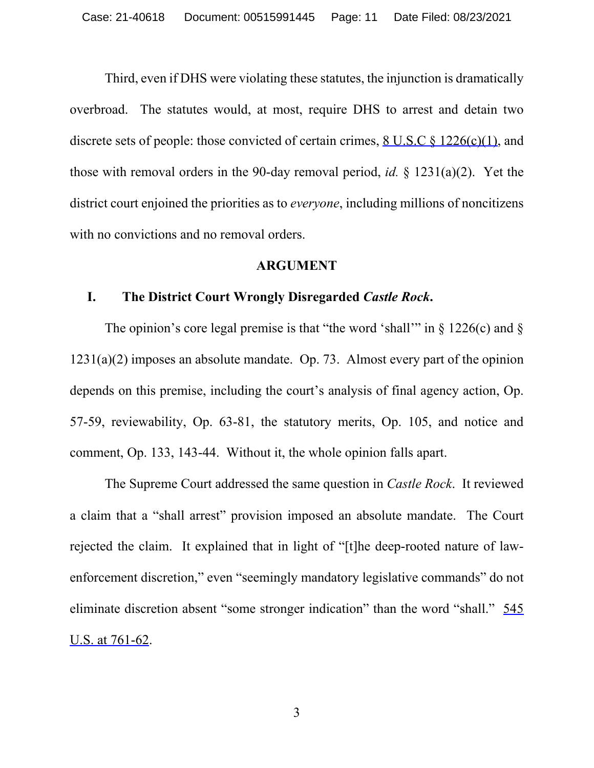Third, even if DHS were violating these statutes, the injunction is dramatically overbroad. The statutes would, at most, require DHS to arrest and detain two discrete sets of people: those convicted of certain crimes, 8 U.S.C § 1226(c)(1), and those with removal orders in the 90-day removal period, *id.* § 1231(a)(2). Yet the district court enjoined the priorities as to *everyone*, including millions of noncitizens with no convictions and no removal orders.

#### **ARGUMENT**

#### **I. The District Court Wrongly Disregarded** *Castle Rock***.**

The opinion's core legal premise is that "the word 'shall'" in  $\S$  1226(c) and  $\S$  $1231(a)(2)$  imposes an absolute mandate. Op. 73. Almost every part of the opinion depends on this premise, including the court's analysis of final agency action, Op. 57-59, reviewability, Op. 63-81, the statutory merits, Op. 105, and notice and comment, Op. 133, 143-44. Without it, the whole opinion falls apart.

The Supreme Court addressed the same question in *Castle Rock*. It reviewed a claim that a "shall arrest" provision imposed an absolute mandate. The Court rejected the claim. It explained that in light of "[t]he deep-rooted nature of lawenforcement discretion," even "seemingly mandatory legislative commands" do not eliminate discretion absent "some stronger indication" than the word "shall." 545 U.S. at 761-62.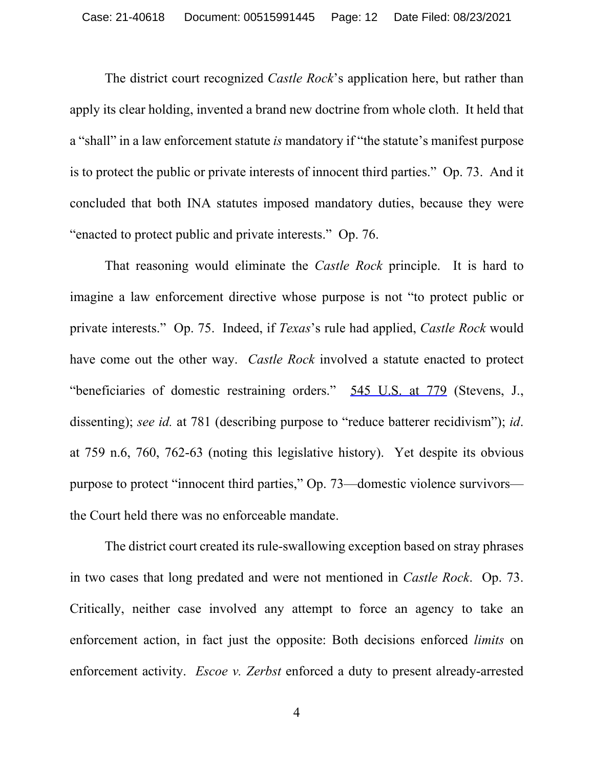The district court recognized *Castle Rock*'s application here, but rather than apply its clear holding, invented a brand new doctrine from whole cloth. It held that a "shall" in a law enforcement statute *is* mandatory if "the statute's manifest purpose is to protect the public or private interests of innocent third parties." Op. 73. And it concluded that both INA statutes imposed mandatory duties, because they were "enacted to protect public and private interests." Op. 76.

That reasoning would eliminate the *Castle Rock* principle. It is hard to imagine a law enforcement directive whose purpose is not "to protect public or private interests." Op. 75. Indeed, if *Texas*'s rule had applied, *Castle Rock* would have come out the other way. *Castle Rock* involved a statute enacted to protect "beneficiaries of domestic restraining orders." 545 U.S. at 779 (Stevens, J., dissenting); *see id.* at 781 (describing purpose to "reduce batterer recidivism"); *id*. at 759 n.6, 760, 762-63 (noting this legislative history). Yet despite its obvious purpose to protect "innocent third parties," Op. 73—domestic violence survivors the Court held there was no enforceable mandate.

The district court created its rule-swallowing exception based on stray phrases in two cases that long predated and were not mentioned in *Castle Rock*. Op. 73. Critically, neither case involved any attempt to force an agency to take an enforcement action, in fact just the opposite: Both decisions enforced *limits* on enforcement activity. *Escoe v. Zerbst* enforced a duty to present already-arrested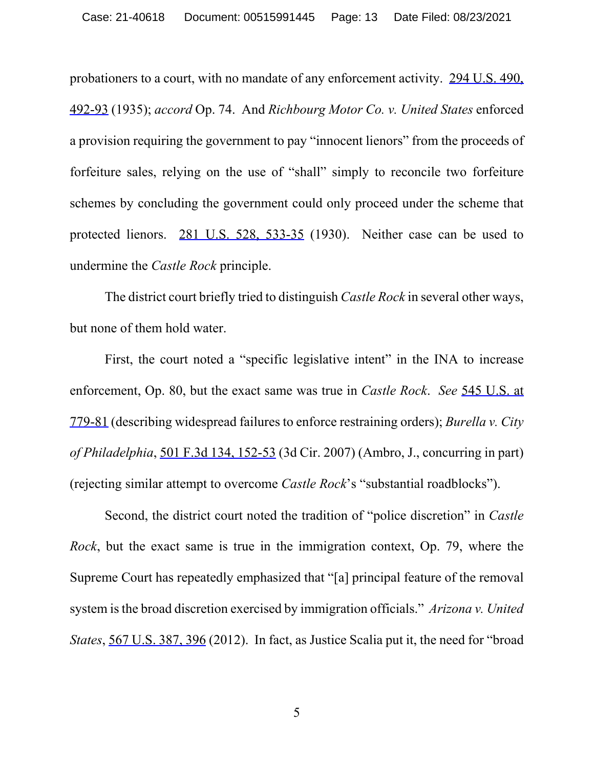probationers to a court, with no mandate of any enforcement activity. 294 U.S. 490, 492-93 (1935); *accord* Op. 74. And *Richbourg Motor Co. v. United States* enforced a provision requiring the government to pay "innocent lienors" from the proceeds of forfeiture sales, relying on the use of "shall" simply to reconcile two forfeiture schemes by concluding the government could only proceed under the scheme that protected lienors. 281 U.S. 528, 533-35 (1930).Neither case can be used to undermine the *Castle Rock* principle.

The district court briefly tried to distinguish *Castle Rock* in several other ways, but none of them hold water.

First, the court noted a "specific legislative intent" in the INA to increase enforcement, Op. 80, but the exact same was true in *Castle Rock*. *See* 545 U.S. at 779-81 (describing widespread failures to enforce restraining orders); *Burella v. City of Philadelphia*, 501 F.3d 134, 152-53 (3d Cir. 2007) (Ambro, J., concurring in part) (rejecting similar attempt to overcome *Castle Rock*'s "substantial roadblocks").

Second, the district court noted the tradition of "police discretion" in *Castle Rock*, but the exact same is true in the immigration context, Op. 79, where the Supreme Court has repeatedly emphasized that "[a] principal feature of the removal system is the broad discretion exercised by immigration officials." *Arizona v. United States*, 567 U.S. 387, 396 (2012). In fact, as Justice Scalia put it, the need for "broad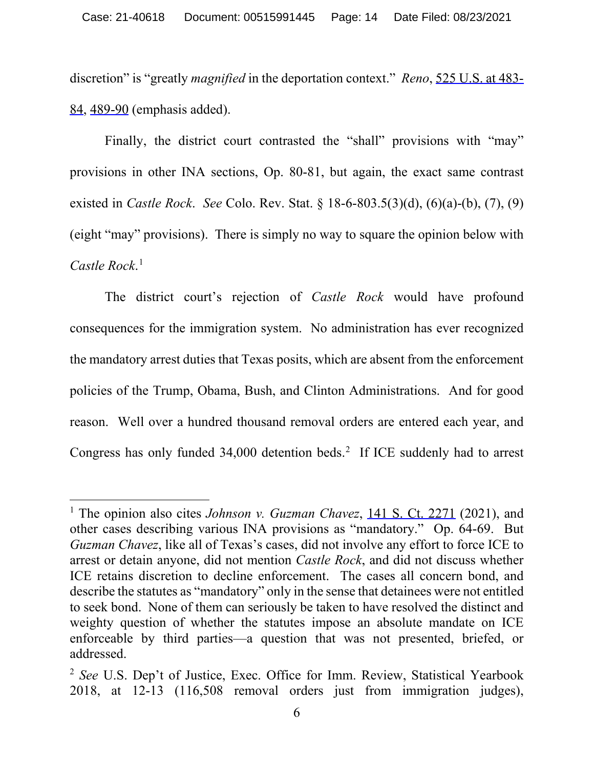discretion" is "greatly *magnified* in the deportation context." *Reno*, 525 U.S. at 483- 84, 489-90 (emphasis added).

Finally, the district court contrasted the "shall" provisions with "may" provisions in other INA sections, Op. 80-81, but again, the exact same contrast existed in *Castle Rock*. *See* Colo. Rev. Stat. § 18-6-803.5(3)(d), (6)(a)-(b), (7), (9) (eight "may" provisions). There is simply no way to square the opinion below with *Castle Rock*. [1](#page-13-0)

The district court's rejection of *Castle Rock* would have profound consequences for the immigration system. No administration has ever recognized the mandatory arrest duties that Texas posits, which are absent from the enforcement policies of the Trump, Obama, Bush, and Clinton Administrations. And for good reason. Well over a hundred thousand removal orders are entered each year, and Congress has only funded  $34,000$  detention beds.<sup>[2](#page-13-1)</sup> If ICE suddenly had to arrest

<span id="page-13-0"></span><sup>&</sup>lt;sup>1</sup> The opinion also cites *Johnson v. Guzman Chavez*, 141 S. Ct. 2271 (2021), and other cases describing various INA provisions as "mandatory." Op. 64-69. But *Guzman Chavez*, like all of Texas's cases, did not involve any effort to force ICE to arrest or detain anyone, did not mention *Castle Rock*, and did not discuss whether ICE retains discretion to decline enforcement. The cases all concern bond, and describe the statutes as "mandatory" only in the sense that detainees were not entitled to seek bond. None of them can seriously be taken to have resolved the distinct and weighty question of whether the statutes impose an absolute mandate on ICE enforceable by third parties—a question that was not presented, briefed, or addressed.

<span id="page-13-1"></span><sup>2</sup> *See* U.S. Dep't of Justice, Exec. Office for Imm. Review, Statistical Yearbook 2018, at 12-13 (116,508 removal orders just from immigration judges),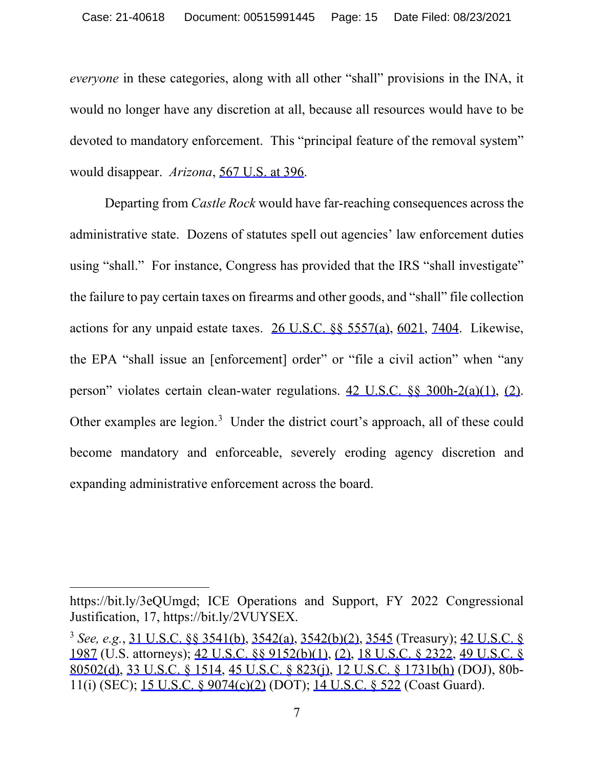*everyone* in these categories, along with all other "shall" provisions in the INA, it would no longer have any discretion at all, because all resources would have to be devoted to mandatory enforcement. This "principal feature of the removal system" would disappear. *Arizona*, 567 U.S. at 396.

Departing from *Castle Rock* would have far-reaching consequences across the administrative state. Dozens of statutes spell out agencies' law enforcement duties using "shall." For instance, Congress has provided that the IRS "shall investigate" the failure to pay certain taxes on firearms and other goods, and "shall" file collection actions for any unpaid estate taxes. 26 U.S.C. §§ 5557(a), 6021, 7404. Likewise, the EPA "shall issue an [enforcement] order" or "file a civil action" when "any person" violates certain clean-water regulations. 42 U.S.C. §§ 300h-2(a)(1), (2). Other examples are legion.<sup>[3](#page-14-0)</sup> Under the district court's approach, all of these could become mandatory and enforceable, severely eroding agency discretion and expanding administrative enforcement across the board.

 $\overline{a}$ 

https://bit.ly/3eQUmgd; ICE Operations and Support, FY 2022 Congressional Justification, 17, https://bit.ly/2VUYSEX.

<span id="page-14-0"></span><sup>3</sup> *See, e.g.*, 31 U.S.C. §§ 3541(b), 3542(a), 3542(b)(2), 3545 (Treasury); 42 U.S.C. § 1987 (U.S. attorneys); 42 U.S.C. §§ 9152(b)(1), (2), 18 U.S.C. § 2322, 49 U.S.C. § 80502(d), 33 U.S.C. § 1514, 45 U.S.C. § 823(j), 12 U.S.C. § 1731b(h) (DOJ), 80b-11(i) (SEC); 15 U.S.C. § 9074(c)(2) (DOT); 14 U.S.C. § 522 (Coast Guard).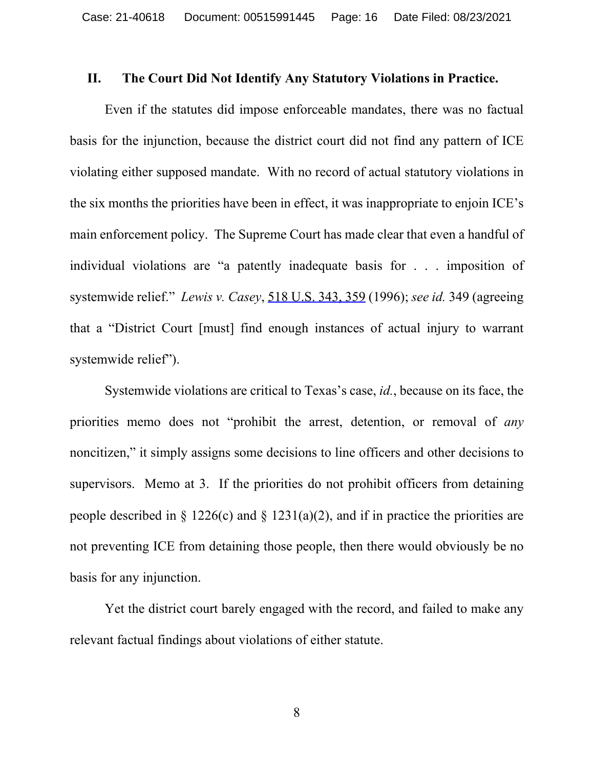#### **II. The Court Did Not Identify Any Statutory Violations in Practice.**

Even if the statutes did impose enforceable mandates, there was no factual basis for the injunction, because the district court did not find any pattern of ICE violating either supposed mandate. With no record of actual statutory violations in the six months the priorities have been in effect, it was inappropriate to enjoin ICE's main enforcement policy. The Supreme Court has made clear that even a handful of individual violations are "a patently inadequate basis for . . . imposition of systemwide relief." *Lewis v. Casey*, 518 U.S. 343, 359 (1996); *see id.* 349 (agreeing that a "District Court [must] find enough instances of actual injury to warrant systemwide relief").

Systemwide violations are critical to Texas's case, *id.*, because on its face, the priorities memo does not "prohibit the arrest, detention, or removal of *any* noncitizen," it simply assigns some decisions to line officers and other decisions to supervisors. Memo at 3. If the priorities do not prohibit officers from detaining people described in  $\S 1226(c)$  and  $\S 1231(a)(2)$ , and if in practice the priorities are not preventing ICE from detaining those people, then there would obviously be no basis for any injunction.

Yet the district court barely engaged with the record, and failed to make any relevant factual findings about violations of either statute.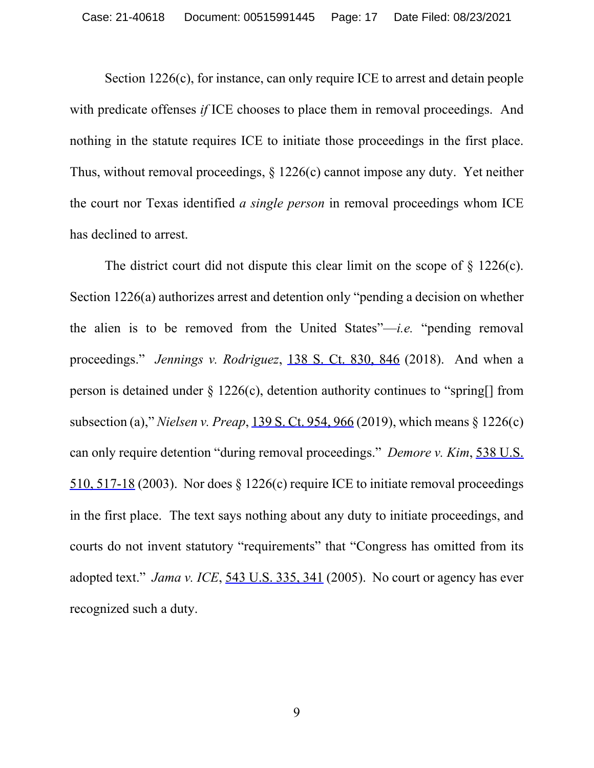Section 1226(c), for instance, can only require ICE to arrest and detain people with predicate offenses *if* ICE chooses to place them in removal proceedings. And nothing in the statute requires ICE to initiate those proceedings in the first place. Thus, without removal proceedings,  $\S$  1226(c) cannot impose any duty. Yet neither the court nor Texas identified *a single person* in removal proceedings whom ICE has declined to arrest.

The district court did not dispute this clear limit on the scope of § 1226(c). Section 1226(a) authorizes arrest and detention only "pending a decision on whether the alien is to be removed from the United States"—*i.e.* "pending removal proceedings." *Jennings v. Rodriguez*, 138 S. Ct. 830, 846 (2018). And when a person is detained under  $\S 1226(c)$ , detention authority continues to "spring [] from subsection (a)," *Nielsen v. Preap*, 139 S. Ct. 954, 966 (2019), which means § 1226(c) can only require detention "during removal proceedings." *Demore v. Kim*, 538 U.S. 510, 517-18 (2003). Nor does § 1226(c) require ICE to initiate removal proceedings in the first place. The text says nothing about any duty to initiate proceedings, and courts do not invent statutory "requirements" that "Congress has omitted from its adopted text." *Jama v. ICE*, 543 U.S. 335, 341 (2005). No court or agency has ever recognized such a duty.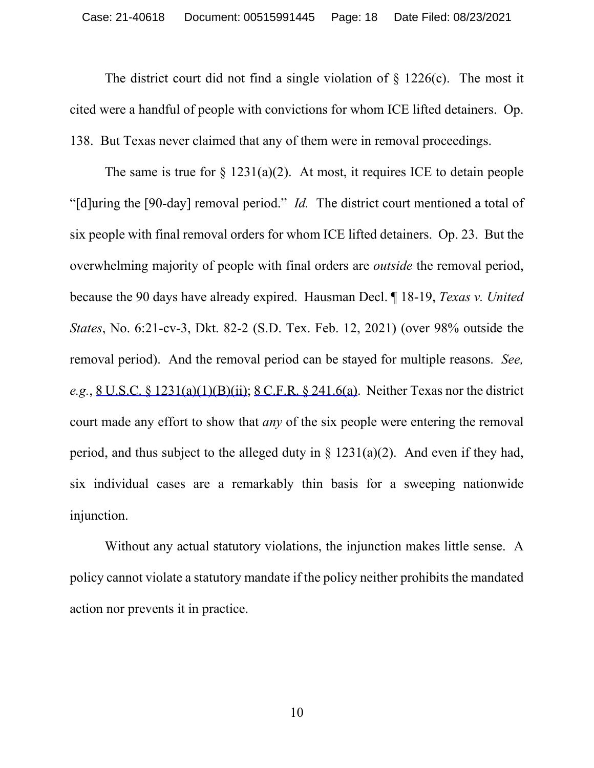The district court did not find a single violation of  $\S$  1226(c). The most it cited were a handful of people with convictions for whom ICE lifted detainers. Op. 138. But Texas never claimed that any of them were in removal proceedings.

The same is true for  $\S 1231(a)(2)$ . At most, it requires ICE to detain people "[d]uring the [90-day] removal period." *Id.* The district court mentioned a total of six people with final removal orders for whom ICE lifted detainers. Op. 23. But the overwhelming majority of people with final orders are *outside* the removal period, because the 90 days have already expired. Hausman Decl. ¶ 18-19, *Texas v. United States*, No. 6:21-cv-3, Dkt. 82-2 (S.D. Tex. Feb. 12, 2021) (over 98% outside the removal period). And the removal period can be stayed for multiple reasons. *See, e.g.*, 8 U.S.C. § 1231(a)(1)(B)(ii); 8 C.F.R. § 241.6(a). Neither Texas nor the district court made any effort to show that *any* of the six people were entering the removal period, and thus subject to the alleged duty in  $\S$  1231(a)(2). And even if they had, six individual cases are a remarkably thin basis for a sweeping nationwide injunction.

Without any actual statutory violations, the injunction makes little sense. A policy cannot violate a statutory mandate if the policy neither prohibits the mandated action nor prevents it in practice.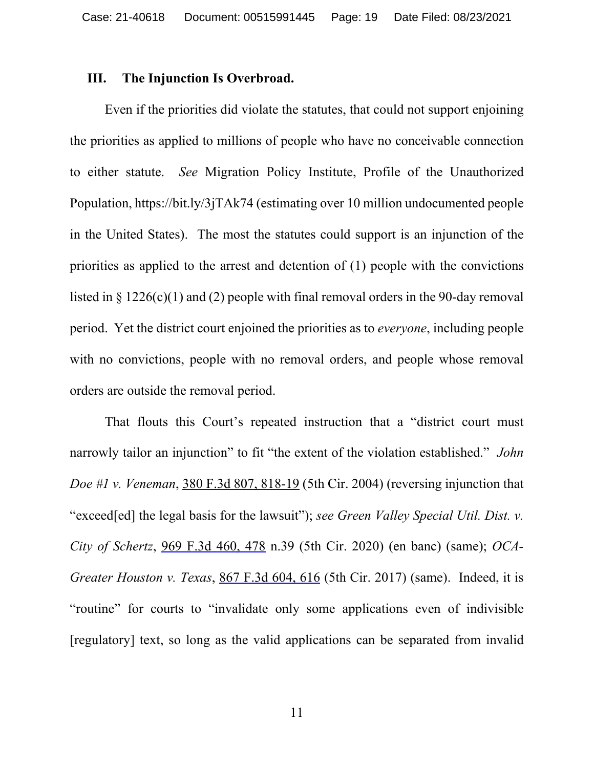#### **III. The Injunction Is Overbroad.**

Even if the priorities did violate the statutes, that could not support enjoining the priorities as applied to millions of people who have no conceivable connection to either statute. *See* Migration Policy Institute, Profile of the Unauthorized Population, https://bit.ly/3jTAk74 (estimating over 10 million undocumented people in the United States). The most the statutes could support is an injunction of the priorities as applied to the arrest and detention of (1) people with the convictions listed in § 1226(c)(1) and (2) people with final removal orders in the 90-day removal period. Yet the district court enjoined the priorities as to *everyone*, including people with no convictions, people with no removal orders, and people whose removal orders are outside the removal period.

That flouts this Court's repeated instruction that a "district court must narrowly tailor an injunction" to fit "the extent of the violation established." *John Doe #1 v. Veneman*, 380 F.3d 807, 818-19 (5th Cir. 2004) (reversing injunction that "exceed[ed] the legal basis for the lawsuit"); *see Green Valley Special Util. Dist. v. City of Schertz*, 969 F.3d 460, 478 n.39 (5th Cir. 2020) (en banc) (same); *OCA-Greater Houston v. Texas*, 867 F.3d 604, 616 (5th Cir. 2017) (same). Indeed, it is "routine" for courts to "invalidate only some applications even of indivisible [regulatory] text, so long as the valid applications can be separated from invalid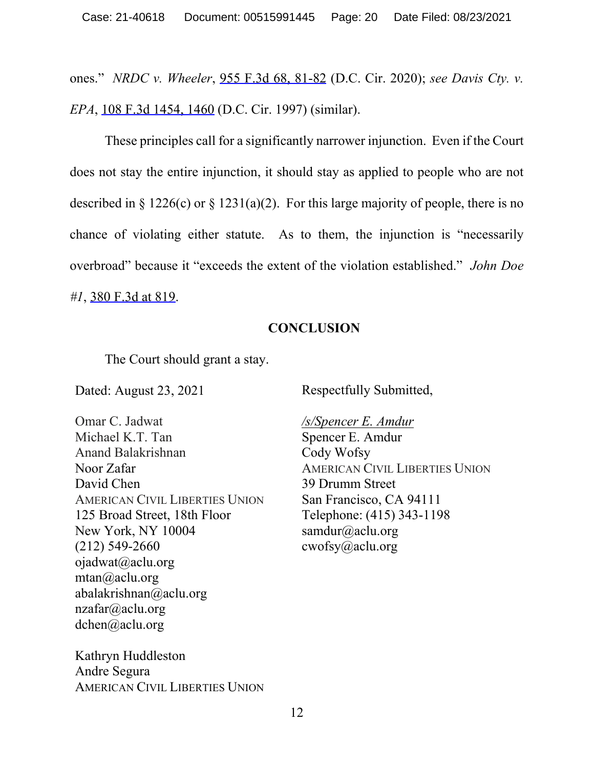ones." *NRDC v. Wheeler*, 955 F.3d 68, 81-82 (D.C. Cir. 2020); *see Davis Cty. v. EPA*, 108 F.3d 1454, 1460 (D.C. Cir. 1997) (similar).

These principles call for a significantly narrower injunction. Even if the Court does not stay the entire injunction, it should stay as applied to people who are not described in § 1226(c) or § 1231(a)(2). For this large majority of people, there is no chance of violating either statute. As to them, the injunction is "necessarily overbroad" because it "exceeds the extent of the violation established." *John Doe #1*, 380 F.3d at 819.

#### **CONCLUSION**

The Court should grant a stay.

Dated: August 23, 2021

Omar C. Jadwat Michael K.T. Tan Anand Balakrishnan Noor Zafar David Chen AMERICAN CIVIL LIBERTIES UNION 125 Broad Street, 18th Floor New York, NY 10004 (212) 549-2660 ojadwat@aclu.org mtan@aclu.org abalakrishnan@aclu.org nzafar@aclu.org dchen@aclu.org

Kathryn Huddleston Andre Segura AMERICAN CIVIL LIBERTIES UNION Respectfully Submitted,

*/s/Spencer E. Amdur* Spencer E. Amdur Cody Wofsy AMERICAN CIVIL LIBERTIES UNION 39 Drumm Street San Francisco, CA 94111 Telephone: (415) 343-1198 samdur@aclu.org [cwofsy@aclu.org](mailto:cwofsy@aclu.org)